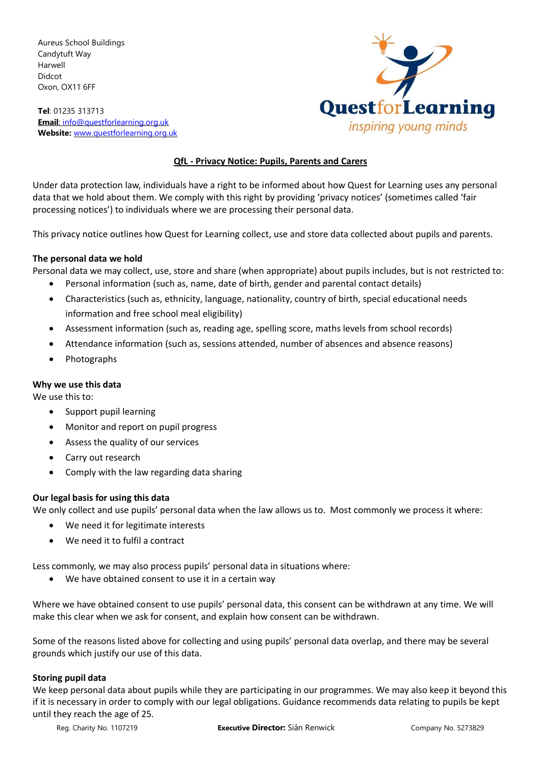Aureus School Buildings Candytuft Way Harwell Didcot Oxon, OX11 6FF

**Tel**: 01235 313713 **Email**: [info@questforlearning.org.uk](mailto:info@questforlearning.org.uk) **Website:** [www.questforlearning.org.uk](http://www.questforlearning.org.uk/)



# **QfL - Privacy Notice: Pupils, Parents and Carers**

Under data protection law, individuals have a right to be informed about how Quest for Learning uses any personal data that we hold about them. We comply with this right by providing 'privacy notices' (sometimes called 'fair processing notices') to individuals where we are processing their personal data.

This privacy notice outlines how Quest for Learning collect, use and store data collected about pupils and parents.

# **The personal data we hold**

Personal data we may collect, use, store and share (when appropriate) about pupils includes, but is not restricted to:

- Personal information (such as, name, date of birth, gender and parental contact details)
- Characteristics (such as, ethnicity, language, nationality, country of birth, special educational needs information and free school meal eligibility)
- Assessment information (such as, reading age, spelling score, maths levels from school records)
- Attendance information (such as, sessions attended, number of absences and absence reasons)
- Photographs

# **Why we use this data**

We use this to:

- Support pupil learning
- Monitor and report on pupil progress
- Assess the quality of our services
- Carry out research
- Comply with the law regarding data sharing

# **Our legal basis for using this data**

We only collect and use pupils' personal data when the law allows us to. Most commonly we process it where:

- We need it for legitimate interests
- We need it to fulfil a contract

Less commonly, we may also process pupils' personal data in situations where:

We have obtained consent to use it in a certain way

Where we have obtained consent to use pupils' personal data, this consent can be withdrawn at any time. We will make this clear when we ask for consent, and explain how consent can be withdrawn.

Some of the reasons listed above for collecting and using pupils' personal data overlap, and there may be several grounds which justify our use of this data.

#### **Storing pupil data**

We keep personal data about pupils while they are participating in our programmes. We may also keep it beyond this if it is necessary in order to comply with our legal obligations. Guidance recommends data relating to pupils be kept until they reach the age of 25.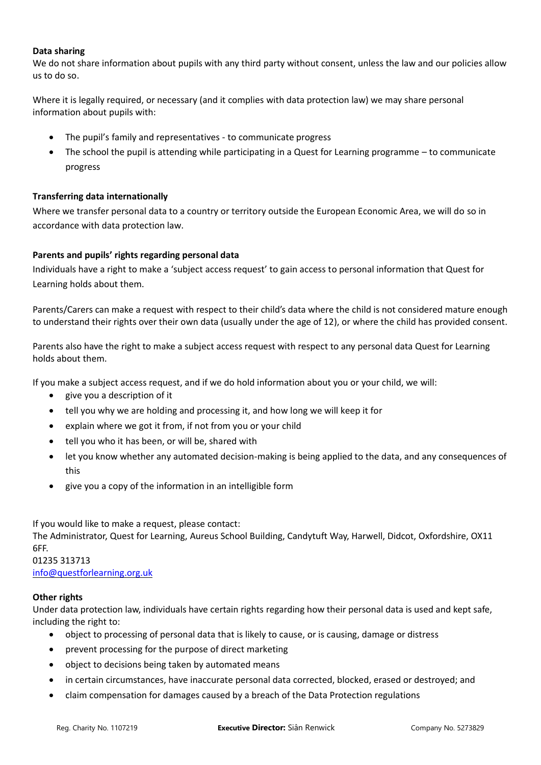## **Data sharing**

We do not share information about pupils with any third party without consent, unless the law and our policies allow us to do so.

Where it is legally required, or necessary (and it complies with data protection law) we may share personal information about pupils with:

- The pupil's family and representatives to communicate progress
- The school the pupil is attending while participating in a Quest for Learning programme to communicate progress

# **Transferring data internationally**

Where we transfer personal data to a country or territory outside the European Economic Area, we will do so in accordance with data protection law.

# **Parents and pupils' rights regarding personal data**

Individuals have a right to make a 'subject access request' to gain access to personal information that Quest for Learning holds about them.

Parents/Carers can make a request with respect to their child's data where the child is not considered mature enough to understand their rights over their own data (usually under the age of 12), or where the child has provided consent.

Parents also have the right to make a subject access request with respect to any personal data Quest for Learning holds about them.

If you make a subject access request, and if we do hold information about you or your child, we will:

- give you a description of it
- tell you why we are holding and processing it, and how long we will keep it for
- explain where we got it from, if not from you or your child
- tell you who it has been, or will be, shared with
- let you know whether any automated decision-making is being applied to the data, and any consequences of this
- give you a copy of the information in an intelligible form

If you would like to make a request, please contact:

The Administrator, Quest for Learning, Aureus School Building, Candytuft Way, Harwell, Didcot, Oxfordshire, OX11 6FF.

#### 01235 313713 [info@questforlearning.org.uk](mailto:info@questforlearning.org.uk)

#### **Other rights**

Under data protection law, individuals have certain rights regarding how their personal data is used and kept safe, including the right to:

- object to processing of personal data that is likely to cause, or is causing, damage or distress
- prevent processing for the purpose of direct marketing
- object to decisions being taken by automated means
- in certain circumstances, have inaccurate personal data corrected, blocked, erased or destroyed; and
- claim compensation for damages caused by a breach of the Data Protection regulations